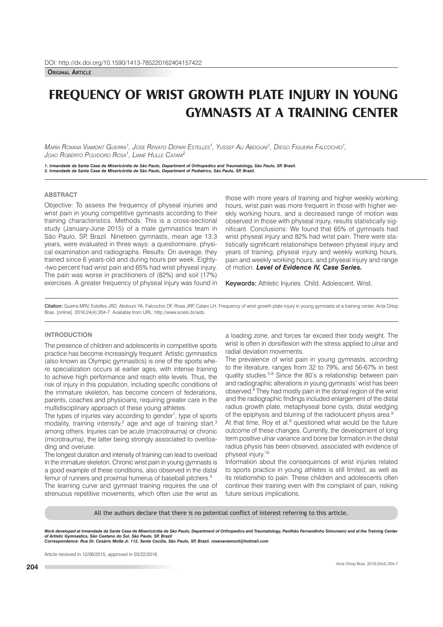**Original article**

# **FREQUENCY OF WRIST GROWTH PLATE INJURY IN YOUNG GYMNASTS AT A TRAINING CENTER**

Мая́іа Яохама Viaмont Guerra<sup>1</sup>, Jose Renato Depari Estelles<sup>1</sup>, Yussef Ali Abdouni<sup>1</sup>, Diego Figueira Falcochio<sup>1</sup>, *Joao roberto polYDoro rosa1 , liane hulle catani2*

1. Irmandade da Santa Casa de Misericórdia de São Paulo, Department of Orthopedics and Traumatology, São Paulo, SP, Brazil.<br>2. Irmandade da Santa Casa de Misericórdia de São Paulo, Department of Pediatrics, São Paulo, SP,

# **ABSTRACT**

Objective: To assess the frequency of physeal injuries and wrist pain in young competitive gymnasts according to their training characteristics. Methods: This is a cross-sectional study (January-June 2015) of a male gymnastics team in São Paulo, SP, Brazil. Nineteen gymnasts, mean age 13.3 years, were evaluated in three ways: a questionnaire, physical examination and radiographs. Results: On average, they trained since 6 years-old and during hours per week. Eighty- -two percent had wrist pain and 65% had wrist physeal injury. The pain was worse in practitioners of (82%) and soil (17%) exercises. A greater frequency of physeal injury was found in those with more years of training and higher weekly working hours, wrist pain was more frequent in those with higher weekly working hours, and a decreased range of motion was observed in those with physeal injury, results statistically significant. Conclusions: We found that 65% of gymnasts had wrist physeal injury and 82% had wrist pain. There were statistically significant relationships between physeal injury and years of training, physeal injury and weekly working hours, pain and weekly working hours, and physeal injury and range of motion. *Level of Evidence IV, Case Series.*

Keywords: Athletic Injuries. Child. Adolescent. Wrist.

Citation: Guerra MRV, Estelles JRD, Abdouni YA, Falcochio DF, Rosa JRP, Catani LH. Frequency of wrist growth plate injury in young gymnasts at a training center. Acta Ortop Bras. [online]. 2016;24(4):204-7. Available from URL: http://www.scielo.br/aob.

# **INTRODUCTION**

The presence of children and adolescents in competitive sports practice has become increasingly frequent. Artistic gymnastics (also known as Olympic gymnastics) is one of the sports where specialization occurs at earlier ages, with intense training to achieve high performance and reach elite levels. Thus, the risk of injury in this population, including specific conditions of the immature skeleton, has become concern of federations, parents, coaches and physicians, requiring greater care in the multidisciplinary approach of these young athletes.

The types of injuries vary according to gender<sup>1</sup>, type of sports modality, training intensity,<sup>2</sup> age and age of training start,<sup>3</sup> among others. Injuries can be acute (macrotrauma) or chronic (microtrauma), the latter being strongly associated to overloading and overuse.

The longest duration and intensity of training can lead to overload in the immature skeleton. Chronic wrist pain in young gymnasts is a good example of these conditions, also observed in the distal femur of runners and proximal humerus of baseball pitchers.<sup>4</sup>

The learning curve and gymnast training requires the use of strenuous repetitive movements, which often use the wrist as a loading zone, and forces far exceed their body weight. The wrist is often in dorsiflexion with the stress applied to ulnar and radial deviation movements.

The prevalence of wrist pain in young gymnasts, according to the literature, ranges from 32 to 79%, and 56-67% in best quality studies.<sup>5-8</sup> Since the 80's a relationship between pain and radiographic alterations in young gymnasts' wrist has been observed.9 They had mostly pain in the dorsal region of the wrist and the radiographic findings included enlargement of the distal radius growth plate, metaphyseal bone cysts, distal wedging of the epiphysis and blurring of the radiolucent physis area.<sup>9</sup>

At that time, Roy et al.<sup>9</sup> questioned what would be the future outcome of these changes. Currently, the development of long term positive ulnar variance and bone bar formation in the distal radius physis has been observed, associated with evidence of physeal injury.10

Information about the consequences of wrist injuries related to sports practice in young athletes is still limited, as well as its relationship to pain. These children and adolescents often continue their training even with the complaint of pain, risking future serious implications.

All the authors declare that there is no potential confict of interest referring to this article.

Work developed at Irmandade da Santa Casa de Misericórdia de São Paulo, Department of Orthopedics and Traumatology, Pavilhão Fernandinho Simonsen) and at the Training Center *of Artistic Gymnastics, São Caetano do Sul, São Paulo, SP, Brazil Correspondence: Rua Dr. Cesário Motta Jr. 112, Santa Cecilia, São Paulo, SP, Brazil. roxanaviamont@hotmail.com*

Article received in 12/06/2015, approved in 03/22/2016.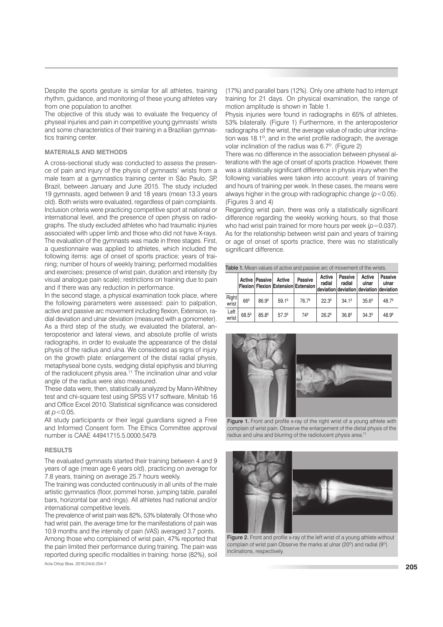Despite the sports gesture is similar for all athletes, training rhythm, guidance, and monitoring of these young athletes vary from one population to another.

The objective of this study was to evaluate the frequency of physeal injuries and pain in competitive young gymnasts' wrists and some characteristics of their training in a Brazilian gymnastics training center.

## **MATERIALS AND METHODS**

A cross-sectional study was conducted to assess the presence of pain and injury of the physis of gymnasts' wrists from a male team at a gymnastics training center in São Paulo, SP, Brazil, between January and June 2015. The study included 19 gymnasts, aged between 9 and 18 years (mean 13.3 years old). Both wrists were evaluated, regardless of pain complaints. Inclusion criteria were practicing competitive sport at national or international level, and the presence of open physis on radiographs. The study excluded athletes who had traumatic injuries associated with upper limb and those who did not have X-rays. The evaluation of the gymnasts was made in three stages. First, a questionnaire was applied to athletes, which included the following items: age of onset of sports practice; years of training; number of hours of weekly training; performed modalities and exercises; presence of wrist pain, duration and intensity (by visual analogue pain scale); restrictions on training due to pain and if there was any reduction in performance.

In the second stage, a physical examination took place, where the following parameters were assessed: pain to palpation, active and passive arc movement including flexion, Extension, radial deviation and ulnar deviation (measured with a goniometer). As a third step of the study, we evaluated the bilateral, anteroposterior and lateral views, and absolute profile of wrists radiographs, in order to evaluate the appearance of the distal physis of the radius and ulna. We considered as signs of injury on the growth plate: enlargement of the distal radial physis, metaphyseal bone cysts, wedging distal epiphysis and blurring of the radiolucent physis area.<sup>11</sup> The inclination ulnar and volar angle of the radius were also measured.

These data were, then, statistically analyzed by Mann-Whitney test and chi-square test using SPSS V17 software, Minitab 16 and Office Excel 2010. Statistical significance was considered at *p*<0.05.

All study participants or their legal guardians signed a Free and Informed Consent form. The Ethics Committee approval number is CAAE 44941715.5.0000.5479.

#### **RESULTS**

The evaluated gymnasts started their training between 4 and 9 years of age (mean age 6 years old), practicing on average for 7.8 years, training on average 25.7 hours weekly.

The training was conducted continuously in all units of the male artistic gymnastics (floor, pommel horse, jumping table, parallel bars, horizontal bar and rings). All athletes had national and/or international competitive levels.

The prevalence of wrist pain was 82%, 53% bilaterally. Of those who had wrist pain, the average time for the manifestations of pain was 10.9 months and the intensity of pain (VAS) averaged 3.7 points.

Among those who complained of wrist pain, 47% reported that the pain limited their performance during training. The pain was reported during specific modalities in training: horse (82%), soil

Acta Ortop Bras. 2016;24(4):204-7

(17%) and parallel bars (12%). Only one athlete had to interrupt training for 21 days. On physical examination, the range of motion amplitude is shown in Table 1.

Physis injuries were found in radiographs in 65% of athletes, 53% bilaterally. (Figure 1) Furthermore, in the anteroposterior radiographs of the wrist, the average value of radio ulnar inclination was 18.1º, and in the wrist profile radiograph, the average volar inclination of the radius was 6.7º. (Figure 2)

There was no difference in the association between physeal alterations with the age of onset of sports practice. However, there was a statistically significant difference in physis injury when the following variables were taken into account: years of training and hours of training per week. In these cases, the means were always higher in the group with radiographic change (*p*<0.05). (Figures 3 and 4)

Regarding wrist pain, there was only a statistically significant difference regarding the weekly working hours, so that those who had wrist pain trained for more hours per week ( $p=0.037$ ). As for the relationship between wrist pain and years of training or age of onset of sports practice, there was no statistically significant difference.

| Table 1. Mean values of active and passive arc of movement of the wrists. |                |                   |                |                                                                                               |                  |                          |                 |                         |
|---------------------------------------------------------------------------|----------------|-------------------|----------------|-----------------------------------------------------------------------------------------------|------------------|--------------------------|-----------------|-------------------------|
|                                                                           |                | Active Passive    | Active         | <b>Passive</b><br>Flexion Flexion Extension Extension deviation deviation deviation deviation | Active<br>radial | <b>Passive</b><br>radial | Active<br>ulnar | <b>Passive</b><br>ulnar |
| Right<br>wrist                                                            | $66^{\circ}$   | 86.9 <sup>°</sup> | $59.1^{\circ}$ | $76.7^{\circ}$                                                                                | $22.3^{\circ}$   | $34.1^{\circ}$           | $35.6^{\circ}$  | $48.7^{\circ}$          |
| Left<br>wrist                                                             | $68.5^{\circ}$ | 85.8 <sup>°</sup> | $57.3^{\circ}$ | 74°                                                                                           | $26.2^{\circ}$   | $36.8^{\circ}$           | $34.3^{\circ}$  | 48.9º                   |



Figure 1. Front and profile x-ray of the right wrist of a young athlete with complain of wrist pain. Observe the enlargement of the distal physis of the radius and ulna and blurring of the radiolucent physis area.<sup>11</sup>



Figure 2. Front and profile x-ray of the left wrist of a young athlete without complain of wrist pain Observe the marks at ulnar (20º) and radial (9º) inclinations, respectively.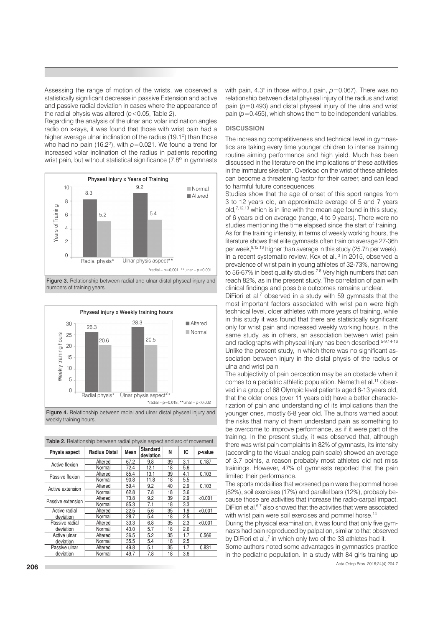Assessing the range of motion of the wrists, we observed a statistically significant decrease in passive Extension and active and passive radial deviation in cases where the appearance of the radial physis was altered (*p*<0.05, Table 2).

Regarding the analysis of the ulnar and volar inclination angles radio on x-rays, it was found that those with wrist pain had a higher average ulnar inclination of the radius (19.1º) than those who had no pain (16.2º), with *p*=0.021. We found a trend for increased volar inclination of the radius in patients reporting wrist pain, but without statistical significance (7.8° in gymnasts







Figure 4. Relationship between radial and ulnar distal physeal injury and weekly training hours.

|  |  |  |  | Table 2. Relationship between radial physis aspect and arc of movement. |
|--|--|--|--|-------------------------------------------------------------------------|
|  |  |  |  |                                                                         |

| Physis aspect     | <b>Radius Distal</b> | Mean | <b>Standard</b><br>deviation | N  | IC  | p-value |
|-------------------|----------------------|------|------------------------------|----|-----|---------|
| Active flexion    | Altered              | 67.2 | 9.8                          | 39 | 3.1 | 0.187   |
|                   | Normal               | 72.4 | 12.1                         | 18 | 5.6 |         |
| Passive flexion   | Altered              | 85.4 | 13.1                         | 39 | 4.1 | 0.103   |
|                   | Normal               | 90.8 | 11.8                         | 18 | 5.5 |         |
| Active extension  | Altered              | 59.4 | 9.2                          | 40 | 2.9 | 0.103   |
|                   | Normal               | 62.8 | 7.8                          | 18 | 3.6 |         |
| Passive extension | Altered              | 73.8 | 9.2                          | 39 | 2.9 | < 0.001 |
|                   | Normal               | 85.3 | 7.1                          | 18 | 3.3 |         |
| Active radial     | Altered              | 22.5 | 5.6                          | 35 | 1.9 | < 0.001 |
| deviation         | Normal               | 28.7 | 5.4                          | 18 | 2.5 |         |
| Passive radial    | Altered              | 33.3 | 6.8                          | 35 | 2.3 | < 0.001 |
| deviation         | Normal               | 43.0 | 5.7                          | 18 | 2.6 |         |
| Active ulnar      | Altered              | 36.5 | 5.2                          | 35 | 1.7 | 0.566   |
| deviation         | Normal               | 35.5 | 5.4                          | 18 | 2.5 |         |
| Passive ulnar     | Altered              | 49.8 | 5.1                          | 35 | 1.7 | 0.831   |
| deviation         | Normal               | 49.7 | 7.8                          | 18 | 3.6 |         |

with pain, 4.3° in those without pain,  $p=0.067$ ). There was no relationship between distal physeal injury of the radius and wrist pain (*p*=0.493) and distal physeal injury of the ulna and wrist pain (*p*=0.455), which shows them to be independent variables.

## **DISCUSSION**

The increasing competitiveness and technical level in gymnastics are taking every time younger children to intense training routine aiming performance and high yield. Much has been discussed in the literature on the implications of these activities in the immature skeleton. Overload on the wrist of these athletes can become a threatening factor for their career, and can lead to harmful future consequences.

Studies show that the age of onset of this sport ranges from 3 to 12 years old, an approximate average of 5 and 7 years old, $7,12,13$  which is in line with the mean age found in this study, of 6 years old on average (range, 4 to 9 years). There were no studies mentioning the time elapsed since the start of training. As for the training intensity, in terms of weekly working hours, the literature shows that elite gymnasts often train on average 27-36h per week,<sup>9,12,13</sup> higher than average in this study (25.7h per week). In a recent systematic review, Kox et al.,<sup>3</sup> in 2015, observed a prevalence of wrist pain in young athletes of 32-73%, narrowing to 56-67% in best quality studies.<sup>7.8</sup> Very high numbers that can reach 82%, as in the present study. The correlation of pain with clinical findings and possible outcomes remains unclear.

DiFiori et al.<sup>7</sup> observed in a study with 59 gymnasts that the most important factors associated with wrist pain were high technical level, older athletes with more years of training, while in this study it was found that there are statistically significant only for wrist pain and increased weekly working hours. In the same study, as in others, an association between wrist pain and radiographs with physeal injury has been described.<sup>5-9,14-16</sup> Unlike the present study, in which there was no significant association between injury in the distal physis of the radius or ulna and wrist pain.

The subjectivity of pain perception may be an obstacle when it comes to a pediatric athletic population. Nemeth et al.<sup>11</sup> observed in a group of 68 Olympic level patients aged 6-13 years old, that the older ones (over 11 years old) have a better characterization of pain and understanding of its implications than the younger ones, mostly 6-8 year old. The authors warned about the risks that many of them understand pain as something to be overcome to improve performance, as if it were part of the training. In the present study, it was observed that, although there was wrist pain complaints in 82% of gymnasts, its intensity (according to the visual analog pain scale) showed an average of 3.7 points, a reason probably most athletes did not miss trainings. However, 47% of gymnasts reported that the pain limited their performance.

The sports modalities that worsened pain were the pommel horse (82%), soil exercises (17%) and parallel bars (12%), probably because those are activities that increase the radio-carpal impact. DiFiori et al.<sup>6,7</sup> also showed that the activities that were associated with wrist pain were soil exercises and pommel horse.<sup>14</sup>

During the physical examination, it was found that only five gymnasts had pain reproduced by palpation, similar to that observed by DiFiori et al.,<sup>7</sup> in which only two of the 33 athletes had it.

Some authors noted some advantages in gymnastics practice in the pediatric population. In a study with 84 girls training up

Acta Ortop Bras. 2016;24(4):204-7